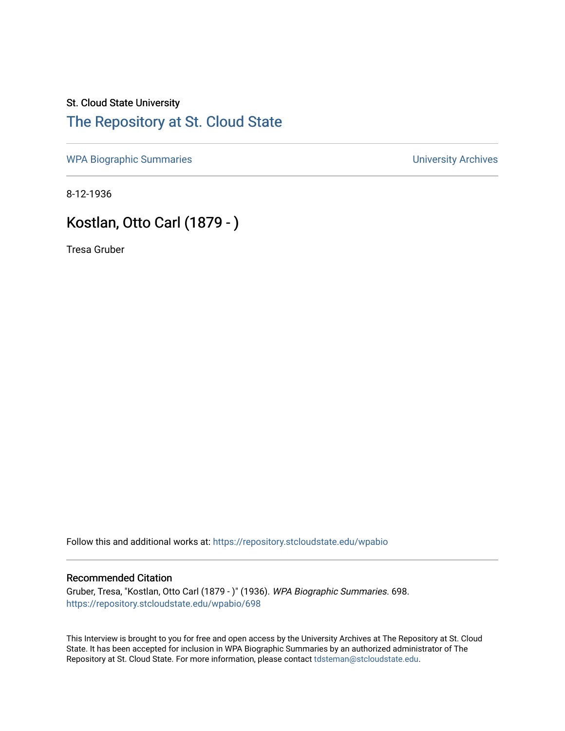## St. Cloud State University [The Repository at St. Cloud State](https://repository.stcloudstate.edu/)

[WPA Biographic Summaries](https://repository.stcloudstate.edu/wpabio) **WPA Biographic Summaries University Archives** 

8-12-1936

# Kostlan, Otto Carl (1879 - )

Tresa Gruber

Follow this and additional works at: [https://repository.stcloudstate.edu/wpabio](https://repository.stcloudstate.edu/wpabio?utm_source=repository.stcloudstate.edu%2Fwpabio%2F698&utm_medium=PDF&utm_campaign=PDFCoverPages) 

### Recommended Citation

Gruber, Tresa, "Kostlan, Otto Carl (1879 - )" (1936). WPA Biographic Summaries. 698. [https://repository.stcloudstate.edu/wpabio/698](https://repository.stcloudstate.edu/wpabio/698?utm_source=repository.stcloudstate.edu%2Fwpabio%2F698&utm_medium=PDF&utm_campaign=PDFCoverPages) 

This Interview is brought to you for free and open access by the University Archives at The Repository at St. Cloud State. It has been accepted for inclusion in WPA Biographic Summaries by an authorized administrator of The Repository at St. Cloud State. For more information, please contact [tdsteman@stcloudstate.edu.](mailto:tdsteman@stcloudstate.edu)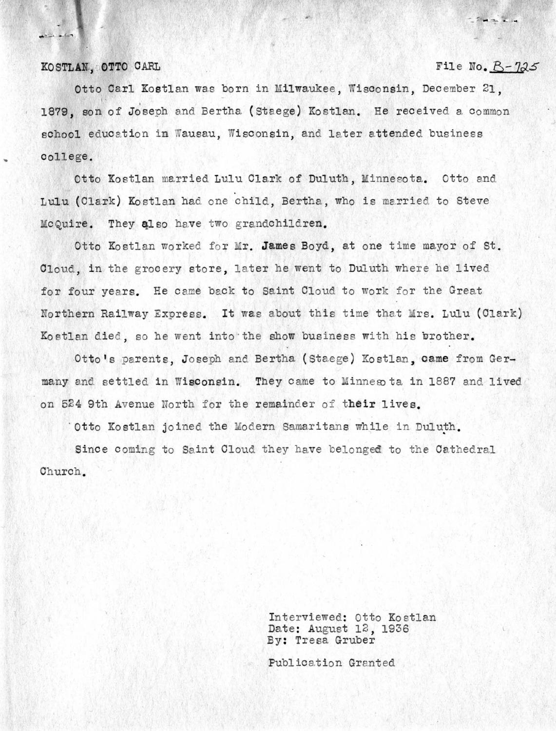#### KOSTLAN, OTTO CARL

 $\bullet$ 

## $F11e$  **No.**  $B-725$

 $-24 - 16$ 

Otto Carl Kostlan was born in Milwaukee, Wisconsin, December 21, 1879, son of Joseph and Bertha (Staege) Kostlan. He received a common school education in Wausau, Wisconsin, and later attended business college.

Otto Kostlan married Lulu Clark of Duluth, Minnesota. Otto and Lulu (Clark) Kostlan had one child, Bertha, who is married to Steve McQuire. They also have two grandchildren.

Otto Kostlan worked for Mr. James Boyd, at one time mayor of St. Cloud, in the grocery store, later he went to Duluth where he lived for four years. He came back to Saint Cloud to work for the Great Northern Railway Express. It was about this time that Mrs. Lulu (Clark) Kostlan died, so he went into the show business with his brother.

Otto's parents. Joseph and Bertha (Staege) Kostlan. came from Germany and settled in Wisconsin. They came to Minneso ta in 1887 and lived on 524 9th Avenue North for the remainder of their lives.

' Otto Kostlan joined the Modern Samaritans while in Duluth.

Since coming to Saint Cloud they have belonged to the Cathedral Church.

> Interviewed: Otto Kostlan Date: August 12, 1936 By: Tresa Gruber

Publication Granted